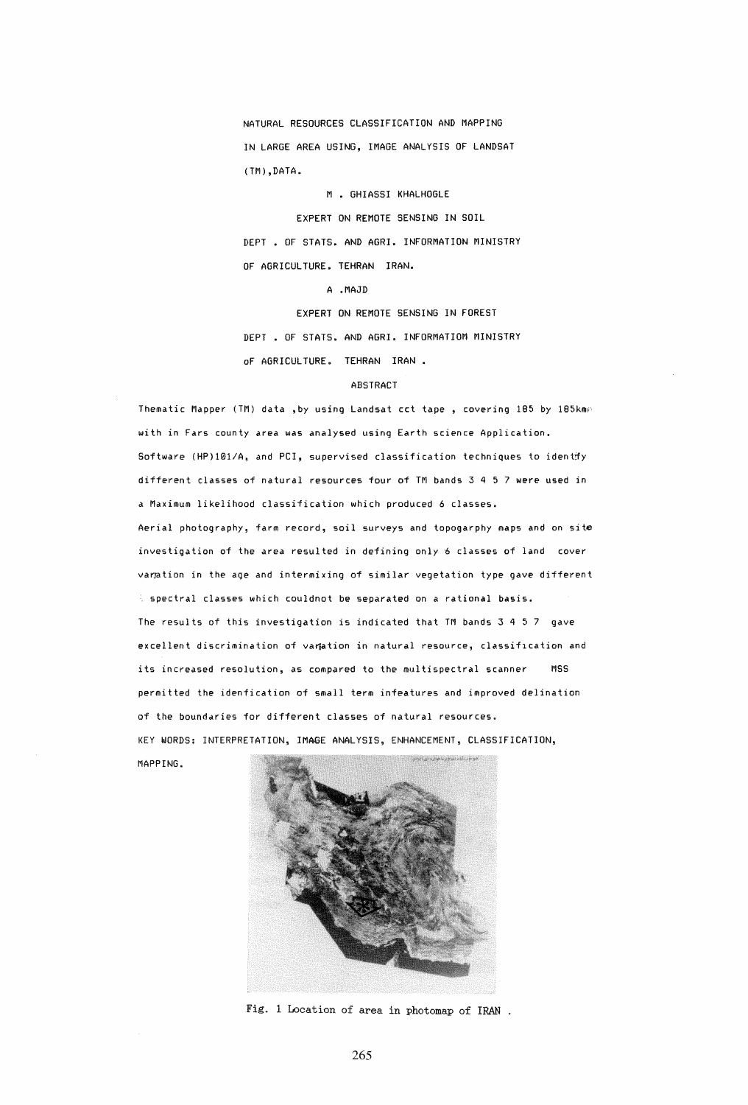NATURAL RESOURCES CLASSIFICATION AND MAPPING IN LARGE AREA USING, IMAGE ANALYSIS OF LANDSAT (TM),DATA.

M • GHIASSI KHALHOGLE

EXPERT ON REMOTE SENSING IN SOIL DEPT • OF STATS. AND AGRI. INFORMATION MINISTRY OF AGRICULTURE. TEHRAN IRAN.

A .MAJD

EXPERT ON REMOTE SENSING IN FOREST

DEPT. OF STATS. AND AGRI. INFORMATIOM MINISTRY

of AGRICULTURE. TEHRAN IRAN.

# ABSTRACT

Thematic Mapper (TM) data , by using Landsat cct tape , covering 185 by 185km/ with in Fars county area was analysed using Earth science Application. Software (HP)101/A, and PCI, supervised classification techniques to identify different classes of natural resources four of TM bands 3 4 5 7 *were* used in a Maximum likelihood classification which produced 6 classes. Aerial photography, farm record, soil surveys and topogarphy maps and on site investigation of the area resulted in defining only 6 classes of land cover varation in the age and intermixing of similar vegetation type gave different spectral classes which couldnot be separated on a rational basis. The results of this investigation is indicated that TM bands 3 4 5 7 gave excellent discrimination of variation in natural resource, classification and its increased resolution, as compared to the multispectral scanner MSS permitted the idenfication of small term infeatures and improved delination of the boundaries for different classes of natural resources. KEY WORDS: INTERPRETATION, IMAGE ANALYSIS, ENHANCEMENT, CLASSIFICATION, MAPPING.



Fig. 1 Location of area in photomap of IRAN .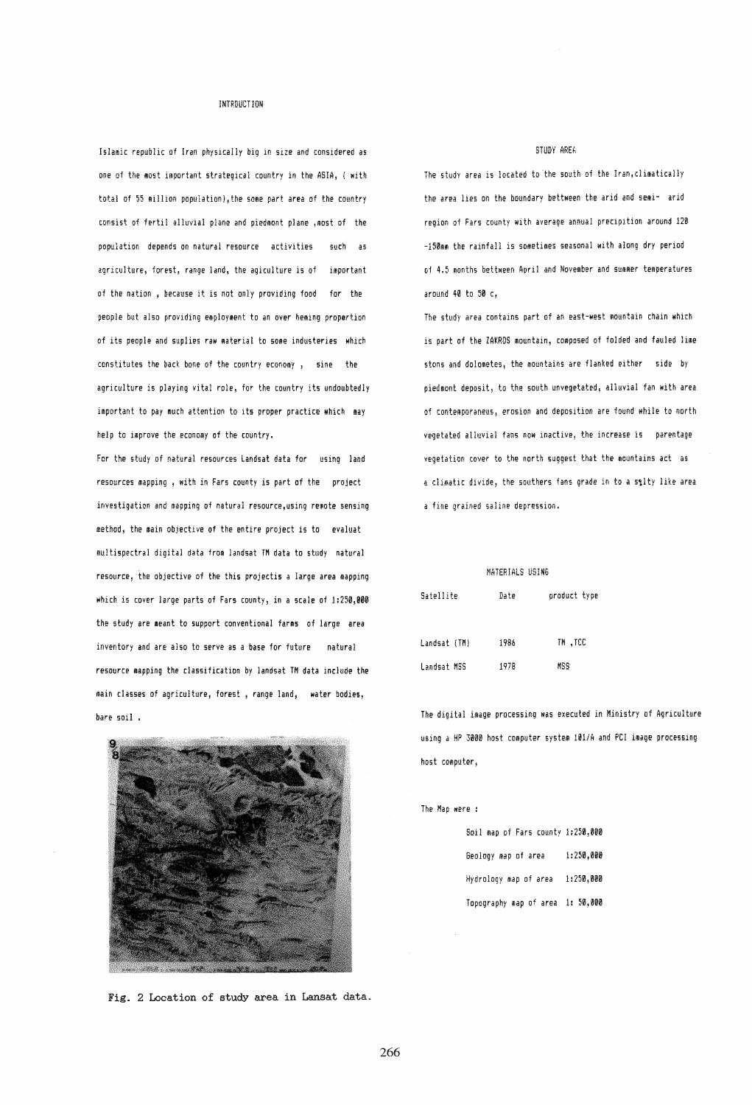### INTRDUCTION

Islamic repuhlic of Iran physically big in size and considered as one of the most important strategical country in the ASIA, ( with total of 55 million population), the some part area of the country consist of ferti! alluvial plane and piedmont plane ,most of the population depends on natural resource activities such as agriculture, forest, range land, the agiculture is of important of the nation, because it is not only providing food for the people but also providing employment to an over heming proportion of its people and suplies raw material to some industeries which constitutes the back bone of the country economy , sine the agriculture is playing vital role, for the country its undoubtedly important to pay much attention to its proper practice which may help to improve the economy of the country.

For the study of natural resources Landsat data for using land resources mapping, with in Fars county is part of the project investigation and mapping of natural resource,using remote sensing method, the main objective of the entire project is to evaluat multispectral digital data *from landsat TM* data to study natural resource, the objective of the this projectis a large *area* mapping which is cover large parts of Fars county, in a scale of 1:250,000 the study are meant to support conventional farms of large area inventory and are also to serve as a base for future natural resource mapping the classification by landsat TM data include the main classes of agriculture, forest, range land, water Dodies, bare soil . The digital image processing was executed in Ministry of Agriculture



Fig. 2 Location of study area in Lansat data.

# STUDY AREh

The study area is located to the south of the Iran,climatically the area lies on the boundary bettween the arid and semi- arid region of Fars county with average annual precipition around 120 -150mm the rainfall is sometimes seasonal with along dry period of 4.5 months bettween April and November and summer temperatures around 40 to 50 c,

The study area contains part of an east-west mountain chain which is part of the ZAKROS mountain, composed of folded and tauled lime stons and dolometes, the mountains are flanked either side by piedmont deposit, to the south unvegetated, alluvial fan with area of contemporaneus, erosion and depOSition are found while to north vegetated alluvial fans now inactive, the increase is parentage vegetation cover to the north suggest that the mountains act as a climatic divide, the southers fans grade in to a s&lty like area a fine grained saline depression.

#### MATERIALS USING

| Satellite    | Date | product type |  |  |
|--------------|------|--------------|--|--|
| Landsat (TM) | 1986 | TM .TCC      |  |  |
| Landsat MSS  | 1978 | MSS          |  |  |

using a HP 3000 host computer system 101/A and PCI image processing host computer,

#### The Map were :

| Soil map of Fars county 1:250,000 |           |
|-----------------------------------|-----------|
| Geolooy map of area               | 1:250.000 |
| Hydrology map of area             | 1:250.000 |
| Topography map of area 1: 50,000  |           |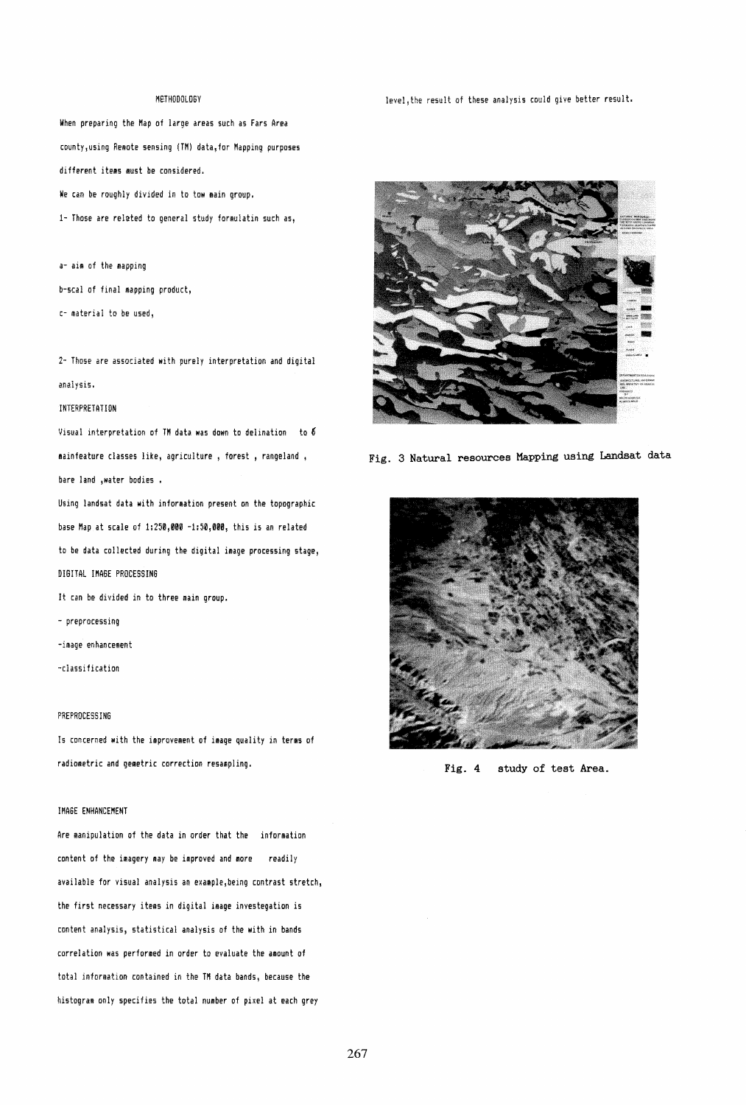### METHODOLOGY

When preparing the Hap of large areas such as Fars Area county, using Remote sensing (TM) data, for Mapping purposes different items must be considered. We can be roughly divided in to tow main group.

1- Those are related to general study formulatin such as,

a- aim of the mapping

b-scal of final mapping product,

c- materiai to be used,

2- Those are associated with purely interpretation and digital analysis.

## **INTERPRETATION**

Visual interpretation of TH data was down to delination to 6 mainfeature classes like, agriculture , forest , rangeland , bare land ,water bodies •

Using landsat data with information present on the topographic base Map at scale of 1:250,000 -1:50,000, this is an related to be data collected during the digital image processing stage, DIGITAL IMAGE PROCESSING

It can be divided in to three main group.

- preprocessing
- -image enhancement
- -c1assi fication

# PREPROCESSING

Is concerned with the improvement of image quality in terms of radiometric and gemetric correction resampling.

#### IMAGE ENHANCEMENT

Are manipulation of the data in order that the information content of the imagery may be improved and more readily available for visual analysis an example, being contrast stretch, the first necessary items in digital image investegation is content analysis, statistical analysis of the with in bands correlation was performed in order to evaluate the amount of total information contained in the TM data bands, because the histogram only specifies the total number of pixel at each grey

Jevel,the result of these analysis could give better result.



Fig. 3 Natural resources Mapping using Landsat data



Fig. 4 study of test Area.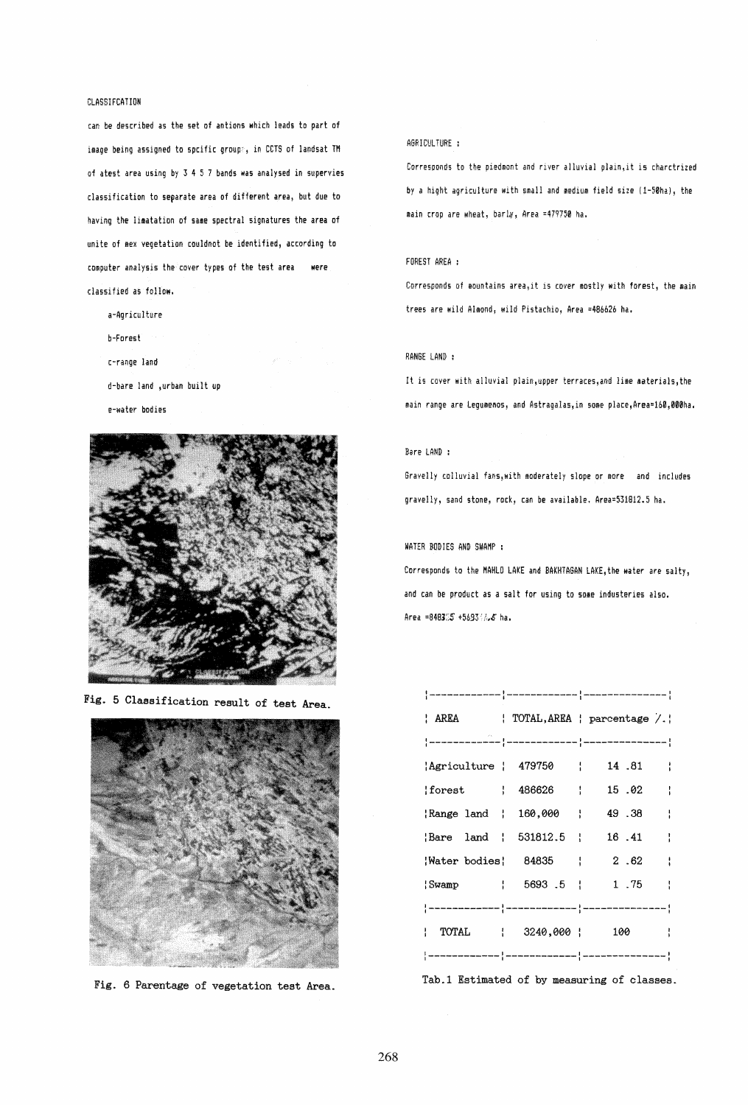# CLASSIFCATION

can be described as the set of antions which leads to part of image being assigned to spcific groupe, in CCTS of landsat TM of atest area using by 3 4 5 7 bands was analysed in supervies classification to separate area of different area, but due to having the limatation of same spectral signatures the area of unite of mex vegetation couldnot be identified, according to computer analysis the cover types of the test area were classi tied as follow,

- a-Agriculture b-Forest
- (-range land
- d-bare land ,urban built up
- e-water bodies



Fig. 5 Classification result of test Area.



Fig. 6 Parentage of vegetation test Area.

# AGRICULTURE :

Corresponds to the piedmont and river alluvial plain,it is charctrized by a hight agriculture with small and medium field size (1-50ha), the main crop are wheat, barly, Area =479750 ha.

### FOREST AREA :

Corresponds of mountains area, it is cover mostly with forest, the main trees are wild Almond; wild Pistachio, Area =486626 ha.

#### RANGE LAND:

It is cover with alluvial plain, upper terraces, and lime materials, the main range are Legumenos, and Astragalas,in some place,Area=160,000ha.

## Bare LAND :

Gravelly colluvial fans, with moderately slope or more and includes gravelly, sand stone, rock, can be available, Area=531812.5 ha.

# WATER BODIES AND SWAMP :

Corresponds to the MAHLO LAKE and BAKHTAGAN LAKE, the water are salty, and can be product as a salt for using to some industeries also. Area =848305 +569301.5 ha.

|                        |  | AREA   TOTAL, AREA   parcentage / |
|------------------------|--|-----------------------------------|
|                        |  |                                   |
| Agriculture   479750   |  | 14.81                             |
| $ forest $ 486626 $ $  |  | 15.02                             |
| Range land   160,000   |  | 49.38                             |
| Bare land   531812.5   |  | 16.41                             |
|                        |  | Water bodies; 84835 ; 2.62 ;      |
|                        |  | Swamp   5693 .5   1.75            |
|                        |  |                                   |
| TOTAL   3240,000   100 |  | $\sim$ $\sim$                     |
|                        |  |                                   |

Tab.l Estimated of by measuring of classes.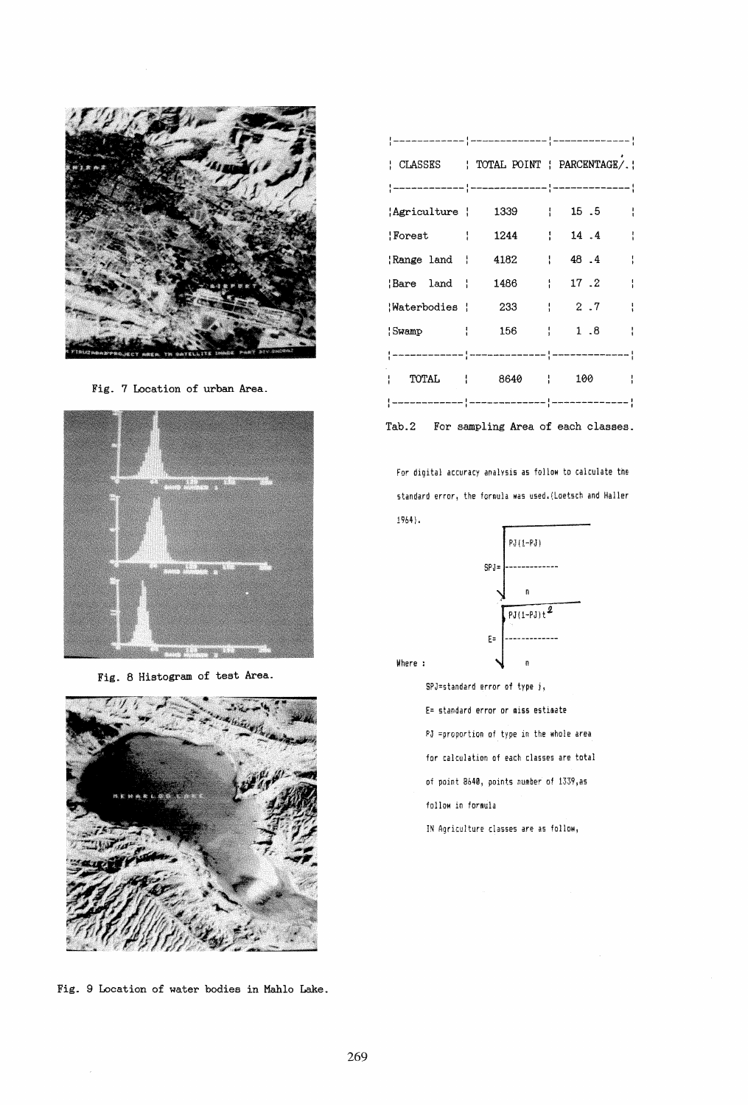

Fig. 7 Location of urban Area.



Fig. 8 Histogram of test Area.



Fig. 9 Location of water bodies in Mahlo Lake.

|                   |              | : CLASSES : TOTAL POINT : PARCENTAGE/.                                  |
|-------------------|--------------|-------------------------------------------------------------------------|
|                   |              |                                                                         |
| 'Agriculture '    | 1339   15.5  |                                                                         |
| Forest            | 1244   14.4  |                                                                         |
| Range land   4182 | $\sim 1$     | 48.4                                                                    |
| Bare land         | 1486         | 17.2                                                                    |
| Waterbodies   233 |              | $\frac{1}{2}$ , 2, 7                                                    |
| $ Swamp $ 156     |              | $\begin{array}{cccc} \cdot & \cdot & \cdot & \cdot & 1 & 8 \end{array}$ |
|                   |              |                                                                         |
|                   | TOTAL   8640 | 100                                                                     |
|                   |              |                                                                         |

Tab.2 For sampling Area of each classes.

For digital accuracy analysis as follow to calculate the standard error, the formula was used.(Loetsch and Haller 1964) .



Where :

SPJ::standard error of type j, E= standard error or miss estimate PJ =proportion of type in the whole area for calculation of each classes are total of point 8b40 , points number of 1339,a5 follow in formula IN Agriculture classes are as follow,